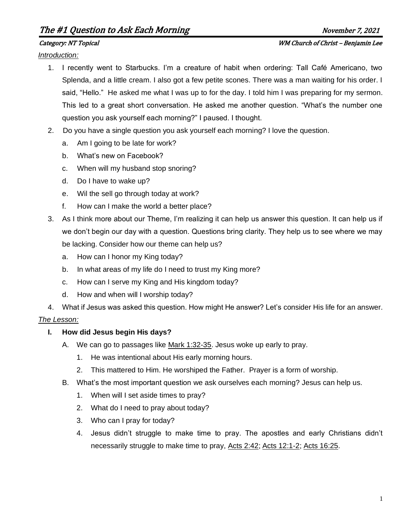# The #1 Question to Ask Each Morning The H November 7, 2021

#### Category: NT Topical WM Church of Christ – Benjamin Lee

*Introduction:*

- 1. I recently went to Starbucks. I'm a creature of habit when ordering: Tall Café Americano, two Splenda, and a little cream. I also got a few petite scones. There was a man waiting for his order. I said, "Hello." He asked me what I was up to for the day. I told him I was preparing for my sermon. This led to a great short conversation. He asked me another question. "What's the number one question you ask yourself each morning?" I paused. I thought.
- 2. Do you have a single question you ask yourself each morning? I love the question.
	- a. Am I going to be late for work?
	- b. What's new on Facebook?
	- c. When will my husband stop snoring?
	- d. Do I have to wake up?
	- e. Wil the sell go through today at work?
	- f. How can I make the world a better place?
- 3. As I think more about our Theme, I'm realizing it can help us answer this question. It can help us if we don't begin our day with a question. Questions bring clarity. They help us to see where we may be lacking. Consider how our theme can help us?
	- a. How can I honor my King today?
	- b. In what areas of my life do I need to trust my King more?
	- c. How can I serve my King and His kingdom today?
	- d. How and when will I worship today?
- 4. What if Jesus was asked this question. How might He answer? Let's consider His life for an answer.

## *The Lesson:*

## **I. How did Jesus begin His days?**

- A. We can go to passages like Mark 1:32-35. Jesus woke up early to pray.
	- 1. He was intentional about His early morning hours.
	- 2. This mattered to Him. He worshiped the Father. Prayer is a form of worship.
- B. What's the most important question we ask ourselves each morning? Jesus can help us.
	- 1. When will I set aside times to pray?
	- 2. What do I need to pray about today?
	- 3. Who can I pray for today?
	- 4. Jesus didn't struggle to make time to pray. The apostles and early Christians didn't necessarily struggle to make time to pray, Acts 2:42; Acts 12:1-2; Acts 16:25.